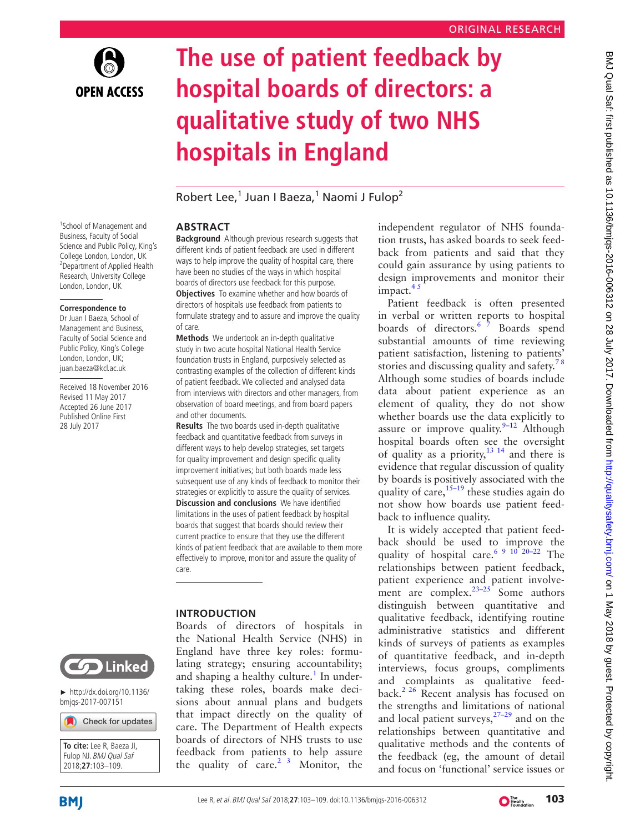

# **The use of patient feedback by hospital boards of directors: a qualitative study of two NHS hospitals in England**

# Robert Lee,<sup>1</sup> Juan I Baeza,<sup>1</sup> Naomi J Fulop<sup>2</sup>

1 School of Management and Business, Faculty of Social Science and Public Policy, King's College London, London, UK 2 Department of Applied Health Research, University College London, London, UK

#### **Correspondence to**

Dr Juan I Baeza, School of Management and Business, Faculty of Social Science and Public Policy, King's College London, London, UK; juan.baeza@kcl.ac.uk

Received 18 November 2016 Revised 11 May 2017 Accepted 26 June 2017 Published Online First 28 July 2017



► [http://dx.doi.org/10.1136/](http://dx.doi.org/10.1136/bmjqs-2017-007151) [bmjqs-2017-007151](http://dx.doi.org/10.1136/bmjqs-2017-007151)

Check for updates

**To cite:** Lee R, Baeza JI, Fulop NJ. BMJ Qual Saf 2018;**27**:103–109.

#### **Abstract**

**Background** Although previous research suggests that different kinds of patient feedback are used in different ways to help improve the quality of hospital care, there have been no studies of the ways in which hospital boards of directors use feedback for this purpose. **Objectives** To examine whether and how boards of directors of hospitals use feedback from patients to formulate strategy and to assure and improve the quality of care.

**Methods** We undertook an in-depth qualitative study in two acute hospital National Health Service foundation trusts in England, purposively selected as contrasting examples of the collection of different kinds of patient feedback. We collected and analysed data from interviews with directors and other managers, from observation of board meetings, and from board papers and other documents.

**Results** The two boards used in-depth qualitative feedback and quantitative feedback from surveys in different ways to help develop strategies, set targets for quality improvement and design specific quality improvement initiatives; but both boards made less subsequent use of any kinds of feedback to monitor their strategies or explicitly to assure the quality of services. **Discussion and conclusions** We have identified limitations in the uses of patient feedback by hospital boards that suggest that boards should review their current practice to ensure that they use the different kinds of patient feedback that are available to them more effectively to improve, monitor and assure the quality of care.

## **Introduction**

Boards of directors of hospitals in the National Health Service (NHS) in England have three key roles: formulating strategy; ensuring accountability; and shaping a healthy culture.<sup>[1](#page-5-0)</sup> In undertaking these roles, boards make decisions about annual plans and budgets that impact directly on the quality of care. The Department of Health expects boards of directors of NHS trusts to use feedback from patients to help assure the quality of care.<sup>2 3</sup> Monitor, the

independent regulator of NHS foundation trusts, has asked boards to seek feedback from patients and said that they could gain assurance by using patients to design improvements and monitor their  $impect.<sup>4</sup>$ <sup>3</sup>

Patient feedback is often presented in verbal or written reports to hospital boards of directors.<sup>6 7</sup> Boards spend substantial amounts of time reviewing patient satisfaction, listening to patients' stories and discussing quality and safety.<sup>78</sup> Although some studies of boards include data about patient experience as an element of quality, they do not show whether boards use the data explicitly to assure or improve quality. $9-12$  Although hospital boards often see the oversight of quality as a priority,  $13 \frac{14}{14}$  and there is evidence that regular discussion of quality by boards is positively associated with the quality of care,  $15-19$  these studies again do not show how boards use patient feedback to influence quality.

It is widely accepted that patient feedback should be used to improve the quality of hospital care.<sup>[6 9 10 20–22](#page-5-3)</sup> The relationships between patient feedback, patient experience and patient involvement are complex. $23-25$  Some authors distinguish between quantitative and qualitative feedback, identifying routine administrative statistics and different kinds of surveys of patients as examples of quantitative feedback, and in-depth interviews, focus groups, compliments and complaints as qualitative feedback[.2 26](#page-5-1) Recent analysis has focused on the strengths and limitations of national and local patient surveys,  $27-29$  and on the relationships between quantitative and qualitative methods and the contents of the feedback (eg, the amount of detail and focus on 'functional' service issues or

**BMJ** 

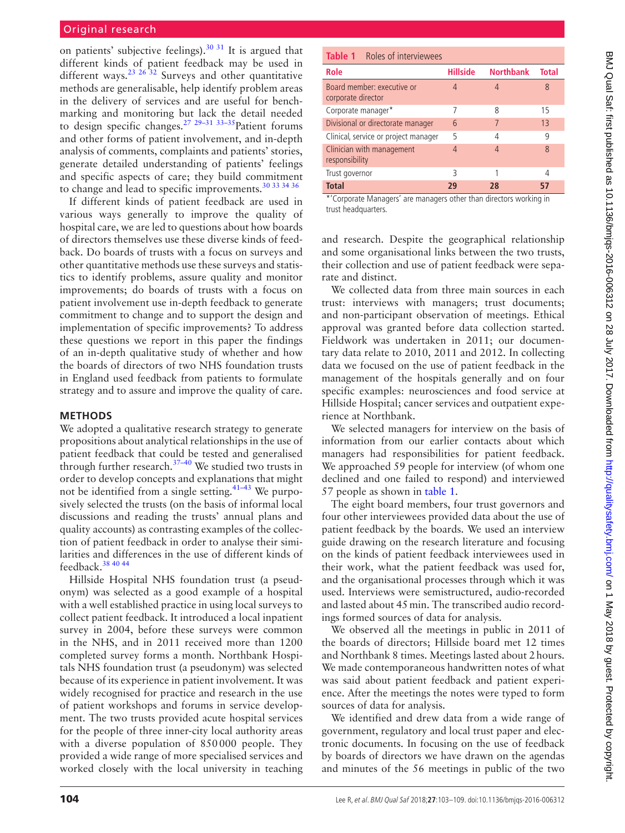# Original research

on patients' subjective feelings). $30\,31$  It is argued that different kinds of patient feedback may be used in different ways. $23 \frac{26 \cdot 32}{26}$  Surveys and other quantitative methods are generalisable, help identify problem areas in the delivery of services and are useful for benchmarking and monitoring but lack the detail needed to design specific changes.<sup>27</sup> <sup>29–31</sup> <sup>33–35</sup>Patient forums</sup> and other forms of patient involvement, and in-depth analysis of comments, complaints and patients' stories, generate detailed understanding of patients' feelings and specific aspects of care; they build commitment to change and lead to specific improvements.<sup>30</sup> <sup>33</sup> <sup>34</sup> <sup>36</sup>

If different kinds of patient feedback are used in various ways generally to improve the quality of hospital care, we are led to questions about how boards of directors themselves use these diverse kinds of feedback. Do boards of trusts with a focus on surveys and other quantitative methods use these surveys and statistics to identify problems, assure quality and monitor improvements; do boards of trusts with a focus on patient involvement use in-depth feedback to generate commitment to change and to support the design and implementation of specific improvements? To address these questions we report in this paper the findings of an in-depth qualitative study of whether and how the boards of directors of two NHS foundation trusts in England used feedback from patients to formulate strategy and to assure and improve the quality of care.

#### **Methods**

We adopted a qualitative research strategy to generate propositions about analytical relationships in the use of patient feedback that could be tested and generalised through further research. $37-40$  We studied two trusts in order to develop concepts and explanations that might not be identified from a single setting. $41-43$  We purposively selected the trusts (on the basis of informal local discussions and reading the trusts' annual plans and quality accounts) as contrasting examples of the collection of patient feedback in order to analyse their similarities and differences in the use of different kinds of feedback.[38 40 44](#page-6-5)

Hillside Hospital NHS foundation trust (a pseudonym) was selected as a good example of a hospital with a well established practice in using local surveys to collect patient feedback. It introduced a local inpatient survey in 2004, before these surveys were common in the NHS, and in 2011 received more than 1200 completed survey forms a month. Northbank Hospitals NHS foundation trust (a pseudonym) was selected because of its experience in patient involvement. It was widely recognised for practice and research in the use of patient workshops and forums in service development. The two trusts provided acute hospital services for the people of three inner-city local authority areas with a diverse population of 850000 people. They provided a wide range of more specialised services and worked closely with the local university in teaching

<span id="page-1-0"></span>

| <b>Table 1</b> Roles of interviewees             |                 |                  |              |
|--------------------------------------------------|-----------------|------------------|--------------|
| <b>Role</b>                                      | <b>Hillside</b> | <b>Northbank</b> | <b>Total</b> |
| Board member: executive or<br>corporate director | 4               | 4                | 8            |
| Corporate manager*                               |                 | 8                | 15           |
| Divisional or directorate manager                | 6               | 7                | 13           |
| Clinical, service or project manager             | 5               | 4                | 9            |
| Clinician with management<br>responsibility      | 4               | 4                | 8            |
| Trust governor                                   | 3               |                  | 4            |
| <b>Total</b>                                     | 29              | 28               | 57           |

\*'Corporate Managers' are managers other than directors working in trust headquarters.

and research. Despite the geographical relationship and some organisational links between the two trusts, their collection and use of patient feedback were separate and distinct.

We collected data from three main sources in each trust: interviews with managers; trust documents; and non-participant observation of meetings. Ethical approval was granted before data collection started. Fieldwork was undertaken in 2011; our documentary data relate to 2010, 2011 and 2012. In collecting data we focused on the use of patient feedback in the management of the hospitals generally and on four specific examples: neurosciences and food service at Hillside Hospital; cancer services and outpatient experience at Northbank.

We selected managers for interview on the basis of information from our earlier contacts about which managers had responsibilities for patient feedback. We approached 59 people for interview (of whom one declined and one failed to respond) and interviewed 57 people as shown in [table](#page-1-0) 1.

The eight board members, four trust governors and four other interviewees provided data about the use of patient feedback by the boards. We used an interview guide drawing on the research literature and focusing on the kinds of patient feedback interviewees used in their work, what the patient feedback was used for, and the organisational processes through which it was used. Interviews were semistructured, audio-recorded and lasted about 45min. The transcribed audio recordings formed sources of data for analysis.

We observed all the meetings in public in 2011 of the boards of directors; Hillside board met 12 times and Northbank 8 times. Meetings lasted about 2hours. We made contemporaneous handwritten notes of what was said about patient feedback and patient experience. After the meetings the notes were typed to form sources of data for analysis.

We identified and drew data from a wide range of government, regulatory and local trust paper and electronic documents. In focusing on the use of feedback by boards of directors we have drawn on the agendas and minutes of the 56 meetings in public of the two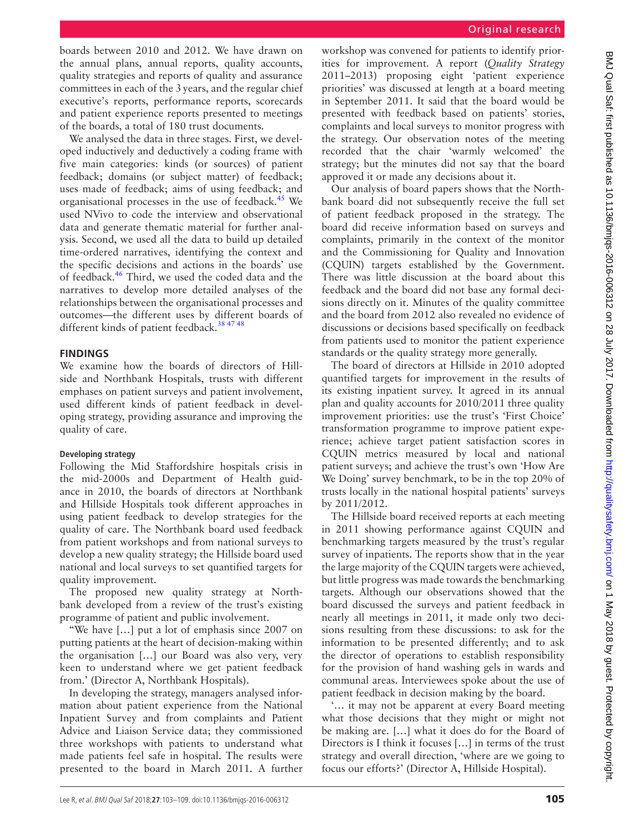boards between 2010 and 2012. We have drawn on the annual plans, annual reports, quality accounts, quality strategies and reports of quality and assurance committees in each of the 3years, and the regular chief executive's reports, performance reports, scorecards and patient experience reports presented to meetings of the boards, a total of 180 trust documents.

We analysed the data in three stages. First, we developed inductively and deductively a coding frame with five main categories: kinds (or sources) of patient feedback; domains (or subject matter) of feedback; uses made of feedback; aims of using feedback; and organisational processes in the use of feedback.<sup>45</sup> We used NVivo to code the interview and observational data and generate thematic material for further analysis. Second, we used all the data to build up detailed time-ordered narratives, identifying the context and the specific decisions and actions in the boards' use of feedback.<sup>[46](#page-6-7)</sup> Third, we used the coded data and the narratives to develop more detailed analyses of the relationships between the organisational processes and outcomes—the different uses by different boards of different kinds of patient feedback.<sup>38 47 48</sup>

#### **Findings**

We examine how the boards of directors of Hillside and Northbank Hospitals, trusts with different emphases on patient surveys and patient involvement, used different kinds of patient feedback in developing strategy, providing assurance and improving the quality of care.

#### **Developing strategy**

Following the Mid Staffordshire hospitals crisis in the mid-2000s and Department of Health guidance in 2010, the boards of directors at Northbank and Hillside Hospitals took different approaches in using patient feedback to develop strategies for the quality of care. The Northbank board used feedback from patient workshops and from national surveys to develop a new quality strategy; the Hillside board used national and local surveys to set quantified targets for quality improvement.

The proposed new quality strategy at Northbank developed from a review of the trust's existing programme of patient and public involvement.

"We have […] put a lot of emphasis since 2007 on putting patients at the heart of decision-making within the organisation […] our Board was also very, very keen to understand where we get patient feedback from.' (Director A, Northbank Hospitals).

In developing the strategy, managers analysed information about patient experience from the National Inpatient Survey and from complaints and Patient Advice and Liaison Service data; they commissioned three workshops with patients to understand what made patients feel safe in hospital. The results were presented to the board in March 2011. A further

workshop was convened for patients to identify priorities for improvement. A report (*Quality Strategy* 2011–2013) proposing eight 'patient experience priorities' was discussed at length at a board meeting in September 2011. It said that the board would be presented with feedback based on patients' stories, complaints and local surveys to monitor progress with the strategy. Our observation notes of the meeting recorded that the chair 'warmly welcomed' the strategy; but the minutes did not say that the board approved it or made any decisions about it.

Our analysis of board papers shows that the Northbank board did not subsequently receive the full set of patient feedback proposed in the strategy. The board did receive information based on surveys and complaints, primarily in the context of the monitor and the Commissioning for Quality and Innovation (CQUIN) targets established by the Government. There was little discussion at the board about this feedback and the board did not base any formal decisions directly on it. Minutes of the quality committee and the board from 2012 also revealed no evidence of discussions or decisions based specifically on feedback from patients used to monitor the patient experience standards or the quality strategy more generally.

The board of directors at Hillside in 2010 adopted quantified targets for improvement in the results of its existing inpatient survey. It agreed in its annual plan and quality accounts for 2010/2011 three quality improvement priorities: use the trust's 'First Choice' transformation programme to improve patient experience; achieve target patient satisfaction scores in CQUIN metrics measured by local and national patient surveys; and achieve the trust's own 'How Are We Doing' survey benchmark, to be in the top 20% of trusts locally in the national hospital patients' surveys by 2011/2012.

The Hillside board received reports at each meeting in 2011 showing performance against CQUIN and benchmarking targets measured by the trust's regular survey of inpatients. The reports show that in the year the large majority of the CQUIN targets were achieved, but little progress was made towards the benchmarking targets. Although our observations showed that the board discussed the surveys and patient feedback in nearly all meetings in 2011, it made only two decisions resulting from these discussions: to ask for the information to be presented differently; and to ask the director of operations to establish responsibility for the provision of hand washing gels in wards and communal areas. Interviewees spoke about the use of patient feedback in decision making by the board.

'… it may not be apparent at every Board meeting what those decisions that they might or might not be making are. […] what it does do for the Board of Directors is I think it focuses […] in terms of the trust strategy and overall direction, 'where are we going to focus our efforts?' (Director A, Hillside Hospital).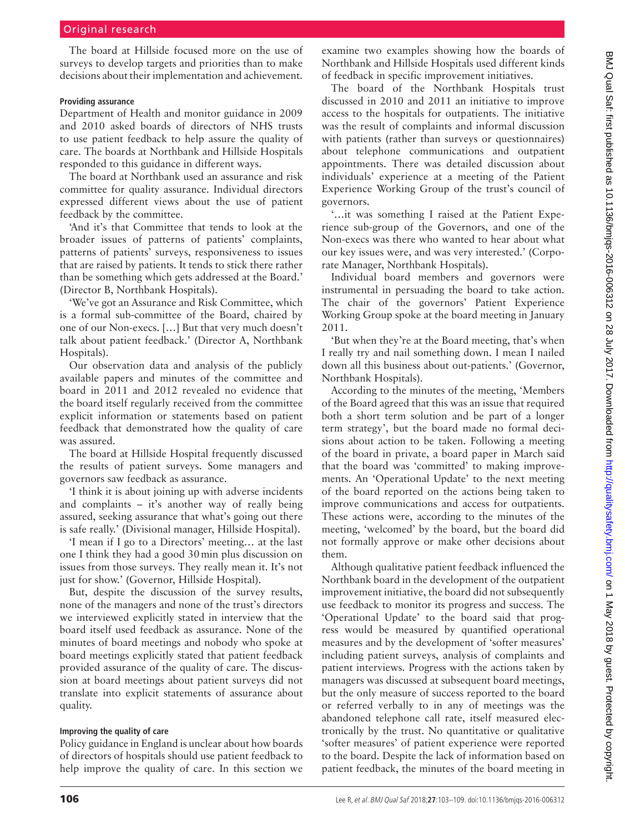### Original research

The board at Hillside focused more on the use of surveys to develop targets and priorities than to make decisions about their implementation and achievement.

#### **Providing assurance**

Department of Health and monitor guidance in 2009 and 2010 asked boards of directors of NHS trusts to use patient feedback to help assure the quality of care. The boards at Northbank and Hillside Hospitals responded to this guidance in different ways.

The board at Northbank used an assurance and risk committee for quality assurance. Individual directors expressed different views about the use of patient feedback by the committee.

'And it's that Committee that tends to look at the broader issues of patterns of patients' complaints, patterns of patients' surveys, responsiveness to issues that are raised by patients. It tends to stick there rather than be something which gets addressed at the Board.' (Director B, Northbank Hospitals).

'We've got an Assurance and Risk Committee, which is a formal sub-committee of the Board, chaired by one of our Non-execs. […] But that very much doesn't talk about patient feedback.' (Director A, Northbank Hospitals).

Our observation data and analysis of the publicly available papers and minutes of the committee and board in 2011 and 2012 revealed no evidence that the board itself regularly received from the committee explicit information or statements based on patient feedback that demonstrated how the quality of care was assured.

The board at Hillside Hospital frequently discussed the results of patient surveys. Some managers and governors saw feedback as assurance.

'I think it is about joining up with adverse incidents and complaints – it's another way of really being assured, seeking assurance that what's going out there is safe really.' (Divisional manager, Hillside Hospital).

'I mean if I go to a Directors' meeting… at the last one I think they had a good 30min plus discussion on issues from those surveys. They really mean it. It's not just for show.' (Governor, Hillside Hospital).

But, despite the discussion of the survey results, none of the managers and none of the trust's directors we interviewed explicitly stated in interview that the board itself used feedback as assurance. None of the minutes of board meetings and nobody who spoke at board meetings explicitly stated that patient feedback provided assurance of the quality of care. The discussion at board meetings about patient surveys did not translate into explicit statements of assurance about quality.

#### **Improving the quality of care**

Policy guidance in England is unclear about how boards of directors of hospitals should use patient feedback to help improve the quality of care. In this section we examine two examples showing how the boards of Northbank and Hillside Hospitals used different kinds of feedback in specific improvement initiatives.

The board of the Northbank Hospitals trust discussed in 2010 and 2011 an initiative to improve access to the hospitals for outpatients. The initiative was the result of complaints and informal discussion with patients (rather than surveys or questionnaires) about telephone communications and outpatient appointments. There was detailed discussion about individuals' experience at a meeting of the Patient Experience Working Group of the trust's council of governors.

'…it was something I raised at the Patient Experience sub-group of the Governors, and one of the Non-execs was there who wanted to hear about what our key issues were, and was very interested.' (Corporate Manager, Northbank Hospitals).

Individual board members and governors were instrumental in persuading the board to take action. The chair of the governors' Patient Experience Working Group spoke at the board meeting in January 2011.

'But when they're at the Board meeting, that's when I really try and nail something down. I mean I nailed down all this business about out-patients.' (Governor, Northbank Hospitals).

According to the minutes of the meeting, 'Members of the Board agreed that this was an issue that required both a short term solution and be part of a longer term strategy', but the board made no formal decisions about action to be taken. Following a meeting of the board in private, a board paper in March said that the board was 'committed' to making improvements. An 'Operational Update' to the next meeting of the board reported on the actions being taken to improve communications and access for outpatients. These actions were, according to the minutes of the meeting, 'welcomed' by the board, but the board did not formally approve or make other decisions about them.

Although qualitative patient feedback influenced the Northbank board in the development of the outpatient improvement initiative, the board did not subsequently use feedback to monitor its progress and success. The 'Operational Update' to the board said that progress would be measured by quantified operational measures and by the development of 'softer measures' including patient surveys, analysis of complaints and patient interviews. Progress with the actions taken by managers was discussed at subsequent board meetings, but the only measure of success reported to the board or referred verbally to in any of meetings was the abandoned telephone call rate, itself measured electronically by the trust. No quantitative or qualitative 'softer measures' of patient experience were reported to the board. Despite the lack of information based on patient feedback, the minutes of the board meeting in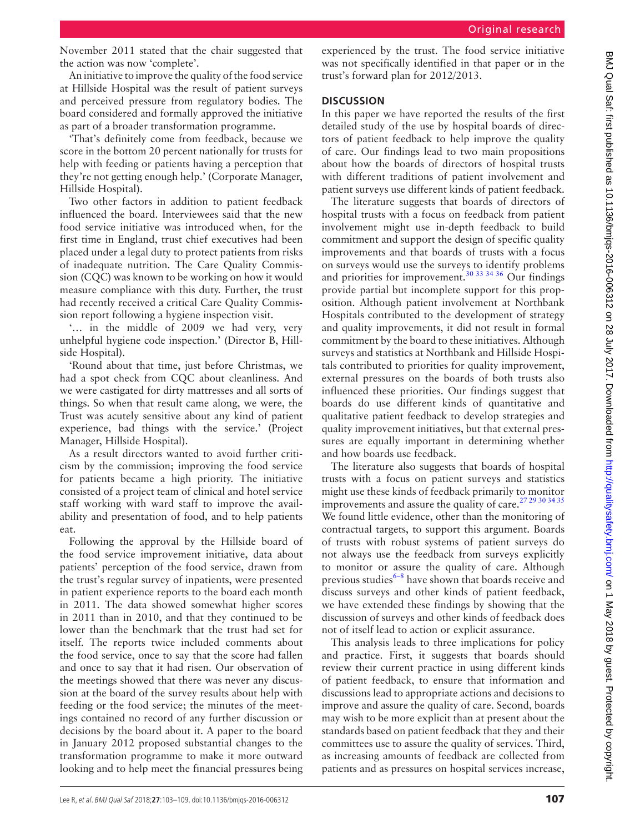November 2011 stated that the chair suggested that the action was now 'complete'.

An initiative to improve the quality of the food service at Hillside Hospital was the result of patient surveys and perceived pressure from regulatory bodies. The board considered and formally approved the initiative as part of a broader transformation programme.

'That's definitely come from feedback, because we score in the bottom 20 percent nationally for trusts for help with feeding or patients having a perception that they're not getting enough help.' (Corporate Manager, Hillside Hospital).

Two other factors in addition to patient feedback influenced the board. Interviewees said that the new food service initiative was introduced when, for the first time in England, trust chief executives had been placed under a legal duty to protect patients from risks of inadequate nutrition. The Care Quality Commission (CQC) was known to be working on how it would measure compliance with this duty. Further, the trust had recently received a critical Care Quality Commission report following a hygiene inspection visit.

'… in the middle of 2009 we had very, very unhelpful hygiene code inspection.' (Director B, Hillside Hospital).

'Round about that time, just before Christmas, we had a spot check from CQC about cleanliness. And we were castigated for dirty mattresses and all sorts of things. So when that result came along, we were, the Trust was acutely sensitive about any kind of patient experience, bad things with the service.' (Project Manager, Hillside Hospital).

As a result directors wanted to avoid further criticism by the commission; improving the food service for patients became a high priority. The initiative consisted of a project team of clinical and hotel service staff working with ward staff to improve the availability and presentation of food, and to help patients eat.

Following the approval by the Hillside board of the food service improvement initiative, data about patients' perception of the food service, drawn from the trust's regular survey of inpatients, were presented in patient experience reports to the board each month in 2011. The data showed somewhat higher scores in 2011 than in 2010, and that they continued to be lower than the benchmark that the trust had set for itself. The reports twice included comments about the food service, once to say that the score had fallen and once to say that it had risen. Our observation of the meetings showed that there was never any discussion at the board of the survey results about help with feeding or the food service; the minutes of the meetings contained no record of any further discussion or decisions by the board about it. A paper to the board in January 2012 proposed substantial changes to the transformation programme to make it more outward looking and to help meet the financial pressures being experienced by the trust. The food service initiative was not specifically identified in that paper or in the trust's forward plan for 2012/2013.

# **Discussion**

In this paper we have reported the results of the first detailed study of the use by hospital boards of directors of patient feedback to help improve the quality of care. Our findings lead to two main propositions about how the boards of directors of hospital trusts with different traditions of patient involvement and patient surveys use different kinds of patient feedback.

The literature suggests that boards of directors of hospital trusts with a focus on feedback from patient involvement might use in-depth feedback to build commitment and support the design of specific quality improvements and that boards of trusts with a focus on surveys would use the surveys to identify problems and priorities for improvement.<sup>30 33 34 36</sup> Our findings provide partial but incomplete support for this proposition. Although patient involvement at Northbank Hospitals contributed to the development of strategy and quality improvements, it did not result in formal commitment by the board to these initiatives. Although surveys and statistics at Northbank and Hillside Hospitals contributed to priorities for quality improvement, external pressures on the boards of both trusts also influenced these priorities. Our findings suggest that boards do use different kinds of quantitative and qualitative patient feedback to develop strategies and quality improvement initiatives, but that external pressures are equally important in determining whether and how boards use feedback.

The literature also suggests that boards of hospital trusts with a focus on patient surveys and statistics might use these kinds of feedback primarily to monitor improvements and assure the quality of care.<sup>27 29 30 34 35</sup> We found little evidence, other than the monitoring of contractual targets, to support this argument. Boards of trusts with robust systems of patient surveys do not always use the feedback from surveys explicitly to monitor or assure the quality of care. Although previous studies<sup>6-8</sup> have shown that boards receive and discuss surveys and other kinds of patient feedback, we have extended these findings by showing that the discussion of surveys and other kinds of feedback does not of itself lead to action or explicit assurance.

This analysis leads to three implications for policy and practice. First, it suggests that boards should review their current practice in using different kinds of patient feedback, to ensure that information and discussions lead to appropriate actions and decisions to improve and assure the quality of care. Second, boards may wish to be more explicit than at present about the standards based on patient feedback that they and their committees use to assure the quality of services. Third, as increasing amounts of feedback are collected from patients and as pressures on hospital services increase,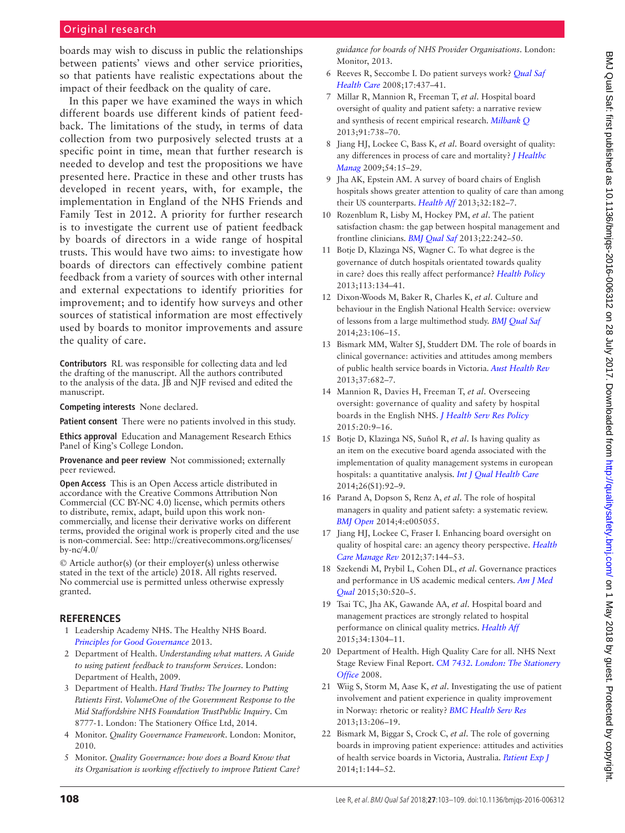#### Original research

boards may wish to discuss in public the relationships between patients' views and other service priorities, so that patients have realistic expectations about the impact of their feedback on the quality of care.

In this paper we have examined the ways in which different boards use different kinds of patient feedback. The limitations of the study, in terms of data collection from two purposively selected trusts at a specific point in time, mean that further research is needed to develop and test the propositions we have presented here. Practice in these and other trusts has developed in recent years, with, for example, the implementation in England of the NHS Friends and Family Test in 2012. A priority for further research is to investigate the current use of patient feedback by boards of directors in a wide range of hospital trusts. This would have two aims: to investigate how boards of directors can effectively combine patient feedback from a variety of sources with other internal and external expectations to identify priorities for improvement; and to identify how surveys and other sources of statistical information are most effectively used by boards to monitor improvements and assure the quality of care.

**Contributors** RL was responsible for collecting data and led the drafting of the manuscript. All the authors contributed to the analysis of the data. JB and NJF revised and edited the manuscript.

**Competing interests** None declared.

**Patient consent** There were no patients involved in this study.

**Ethics approval** Education and Management Research Ethics Panel of King's College London.

**Provenance and peer review** Not commissioned; externally peer reviewed.

**Open Access** This is an Open Access article distributed in accordance with the Creative Commons Attribution Non Commercial (CC BY-NC 4.0) license, which permits others to distribute, remix, adapt, build upon this work noncommercially, and license their derivative works on different terms, provided the original work is properly cited and the use is non-commercial. See: [http://creativecommons.org/licenses/](http://creativecommons.org/licenses/by-nc/4.0/) [by-nc/4.0/](http://creativecommons.org/licenses/by-nc/4.0/)

© Article author(s) (or their employer(s) unless otherwise stated in the text of the article) 2018. All rights reserved. No commercial use is permitted unless otherwise expressly granted.

#### **References**

- <span id="page-5-0"></span>1 Leadership Academy NHS. The Healthy NHS Board. *Principles for Good Governance* 2013.
- <span id="page-5-1"></span>2 Department of Health. *Understanding what matters. A Guide to using patient feedback to transform Services*. London: Department of Health, 2009.
- 3 Department of Health. *Hard Truths: The Journey to Putting Patients First. VolumeOne of the Government Response to the Mid Staffordshire NHS Foundation TrustPublic Inquiry*. Cm 8777-1. London: The Stationery Office Ltd, 2014.
- <span id="page-5-2"></span>4 Monitor. *Quality Governance Framework*. London: Monitor, 2010.
- 5 Monitor. *Quality Governance: how does a Board Know that its Organisation is working effectively to improve Patient Care?*

*guidance for boards of NHS Provider Organisations*. London: Monitor, 2013.

- <span id="page-5-3"></span>6 Reeves R, Seccombe I. Do patient surveys work? *Qual Saf Health Care* 2008;17:437–41.
- <span id="page-5-4"></span>7 Millar R, Mannion R, Freeman T, *et al*. Hospital board oversight of quality and patient safety: a narrative review and synthesis of recent empirical research. *[Milbank Q](http://dx.doi.org/10.1111/1468-0009.12032)* 2013;91:738–70.
- 8 Jiang HJ, Lockee C, Bass K, *et al*. Board oversight of quality: any differences in process of care and mortality? *J Healthc Manag* 2009;54:15–29.
- <span id="page-5-5"></span>9 Jha AK, Epstein AM. A survey of board chairs of English hospitals shows greater attention to quality of care than among their US counterparts. *[Health Aff](http://dx.doi.org/10.1377/hlthaff.2012.1060)* 2013;32:182–7.
- 10 Rozenblum R, Lisby M, Hockey PM, *et al*. The patient satisfaction chasm: the gap between hospital management and frontline clinicians. *[BMJ Qual Saf](http://dx.doi.org/10.1136/bmjqs-2012-001045)* 2013;22:242–50.
- 11 Botje D, Klazinga NS, Wagner C. To what degree is the governance of dutch hospitals orientated towards quality in care? does this really affect performance? *[Health Policy](http://dx.doi.org/10.1016/j.healthpol.2013.07.015)* 2013;113:134–41.
- 12 Dixon-Woods M, Baker R, Charles K, *et al*. Culture and behaviour in the English National Health Service: overview of lessons from a large multimethod study. *[BMJ Qual Saf](http://dx.doi.org/10.1136/bmjqs-2013-001947)* 2014;23:106–15.
- <span id="page-5-6"></span>13 Bismark MM, Walter SJ, Studdert DM. The role of boards in clinical governance: activities and attitudes among members of public health service boards in Victoria. *[Aust Health Rev](http://dx.doi.org/10.1071/AH13125)* 2013;37:682–7.
- 14 Mannion R, Davies H, Freeman T, *et al*. Overseeing oversight: governance of quality and safety by hospital boards in the English NHS. *[J Health Serv Res Policy](http://dx.doi.org/10.1177/1355819614558471)* 2015:20:9–16.
- <span id="page-5-7"></span>15 Botje D, Klazinga NS, Suñol R, *et al*. Is having quality as an item on the executive board agenda associated with the implementation of quality management systems in european hospitals: a quantitative analysis. *[Int J Qual Health Care](http://dx.doi.org/10.1093/intqhc/mzu017)* 2014;26(S1):92–9.
- 16 Parand A, Dopson S, Renz A, *et al*. The role of hospital managers in quality and patient safety: a systematic review. *[BMJ Open](http://dx.doi.org/10.1136/bmjopen-2014-005055)* 2014;4:e005055.
- 17 Jiang HJ, Lockee C, Fraser I. Enhancing board oversight on quality of hospital care: an agency theory perspective. *[Health](http://dx.doi.org/10.1097/HMR.0b013e3182224237)  [Care Manage Rev](http://dx.doi.org/10.1097/HMR.0b013e3182224237)* 2012;37:144–53.
- 18 Szekendi M, Prybil L, Cohen DL, *et al*. Governance practices and performance in US academic medical centers. *[Am J Med](http://dx.doi.org/10.1177/1062860614547260)  [Qual](http://dx.doi.org/10.1177/1062860614547260)* 2015;30:520–5.
- 19 Tsai TC, Jha AK, Gawande AA, *et al*. Hospital board and management practices are strongly related to hospital performance on clinical quality metrics. *[Health Aff](http://dx.doi.org/10.1377/hlthaff.2014.1282)* 2015;34:1304–11.
- 20 Department of Health. High Quality Care for all. NHS Next Stage Review Final Report. *CM 7432. London: The Stationery Office* 2008.
- 21 Wiig S, Storm M, Aase K, *et al*. Investigating the use of patient involvement and patient experience in quality improvement in Norway: rhetoric or reality? *[BMC Health Serv Res](http://dx.doi.org/10.1186/1472-6963-13-206)* 2013;13:206–19.
- 22 Bismark M, Biggar S, Crock C, *et al*. The role of governing boards in improving patient experience: attitudes and activities of health service boards in Victoria, Australia. *Patient Exp J* 2014;1:144–52.